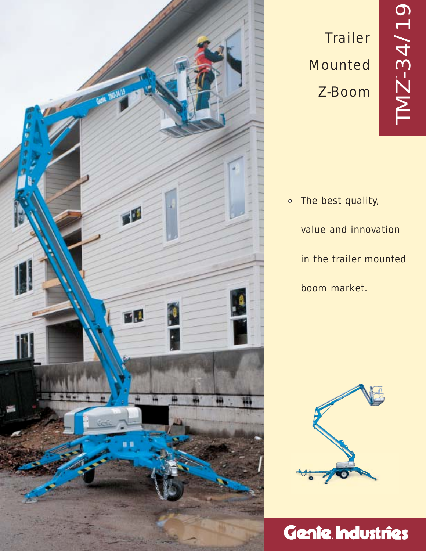

# **Trailer** Mounted Z-Boom

The best quality, value and innovation in the trailer mounted boom market.

 $\varphi$ 



# Genie Industries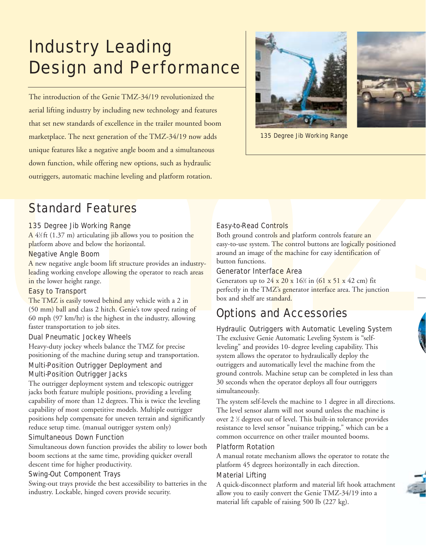## Industry Leading Design and Performance

acial lifting industry by including new technology and features<br>
that set new standards of excellence in the trailer mounted boom<br>
marketplace. The next generation of the TMZ-34/19 now adds<br>
unique features in a simulatio The introduction of the Genie TMZ-34/19 revolutionized the aerial lifting industry by including new technology and features that set new standards of excellence in the trailer mounted boom marketplace. The next generation of the TMZ-34/19 now adds unique features like a negative angle boom and a simultaneous down function, while offering new options, such as hydraulic outriggers, automatic machine leveling and platform rotation.





135 Degree Jib Working Range

## Standard Features

#### 135 Degree Jib Working Range

A 4½ft (1.37 m) articulati<mark>ng jib allows</mark> you to position <mark>the</mark> platform above and below the horizontal.

#### Negative Angle Boom

A new negative angle boom lift structure provides an industryleading working envelope allowing the operator to reach areas in the lower height range.

## Easy to Transport

The TMZ is easily towed behind any vehicle with a 2 in (50 mm) ball and class 2 hitch. Genie's tow speed rating of 60 mph (97 km/hr) is the highest in the industry, allowing faster transportation to job sites.

#### Dual Pneumatic Jockey Wheels

Heavy-duty jockey wheels balance the TMZ for precise positioning of the machine during setup and transportation.

## Multi-Position Outrigger Deployment and Multi-Position Outrigger Jacks

The outrigger deployment system and telescopic outrigger jacks both feature multiple positions, providing a leveling capability of more than 12 degrees. This is twice the leveling capability of most competitive models. Multiple outrigger positions help compensate for uneven terrain and significantly reduce setup time. (manual outrigger system only)

#### Simultaneous Down Function

Simultaneous down function provides the ability to lower both boom sections at the same time, providing quicker overall descent time for higher productivity.

## Swing-Out Component Trays

Swing-out trays provide the best accessibility to batteries in the industry. Lockable, hinged covers provide security.

## Easy-to-Read Controls

Both ground controls and platform controls feature an easy-to-use system. The control buttons are logically positioned around an image of the machine for easy identification of button functions.

## Generator Interface Area

Generators up to  $24 \times 20 \times 16\%$  in (61 x 51 x 42 cm) fit perfectly in the TMZ's generator interface area. The junction box and shelf are standard.

## Options and Accessories

## Hydraulic Outriggers with Automatic Leveling System

The exclusive Genie Automatic Leveling System is "selfleveling" and provides 10- degree leveling capability. This system allows the operator to hydraulically deploy the outriggers and automatically level the machine from the ground controls. Machine setup can be completed in less than 30 seconds when the operator deploys all four outriggers simultaneously.

The system self-levels the machine to 1 degree in all directions. The level sensor alarm will not sound unless the machine is over 2 1 ⁄2 degrees out of level. This built-in tolerance provides resistance to level sensor "nuisance tripping," which can be a common occurrence on other trailer mounted booms.

## Platform Rotation

A manual rotate mechanism allows the operator to rotate the platform 45 degrees horizontally in each direction.

## Material Lifting

A quick-disconnect platform and material lift hook attachment allow you to easily convert the Genie TMZ-34/19 into a material lift capable of raising 500 lb (227 kg).



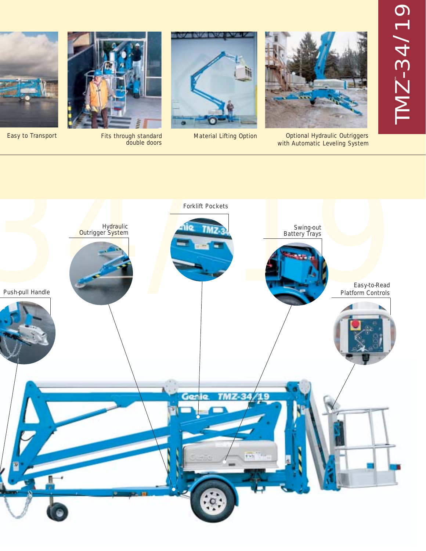# TMZ ™-34 /19



Optional Hydraulic Outriggers with Automatic Leveling System



Easy to Transport **Fits through standard** Material Lifting Option



Fits through standard<br>double doors